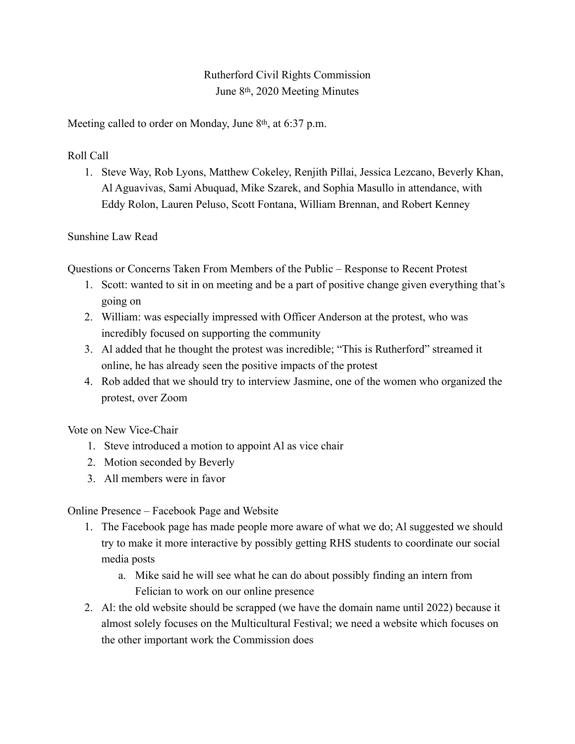## Rutherford Civil Rights Commission June 8th, 2020 Meeting Minutes

Meeting called to order on Monday, June 8<sup>th</sup>, at 6:37 p.m.

Roll Call

1. Steve Way, Rob Lyons, Matthew Cokeley, Renjith Pillai, Jessica Lezcano, Beverly Khan, Al Aguavivas, Sami Abuquad, Mike Szarek, and Sophia Masullo in attendance, with Eddy Rolon, Lauren Peluso, Scott Fontana, William Brennan, and Robert Kenney

## Sunshine Law Read

Questions or Concerns Taken From Members of the Public – Response to Recent Protest

- 1. Scott: wanted to sit in on meeting and be a part of positive change given everything that's going on
- 2. William: was especially impressed with Officer Anderson at the protest, who was incredibly focused on supporting the community
- 3. Al added that he thought the protest was incredible; "This is Rutherford" streamed it online, he has already seen the positive impacts of the protest
- 4. Rob added that we should try to interview Jasmine, one of the women who organized the protest, over Zoom

Vote on New Vice-Chair

- 1. Steve introduced a motion to appoint Al as vice chair
- 2. Motion seconded by Beverly
- 3. All members were in favor

Online Presence – Facebook Page and Website

- 1. The Facebook page has made people more aware of what we do; Al suggested we should try to make it more interactive by possibly getting RHS students to coordinate our social media posts
	- a. Mike said he will see what he can do about possibly finding an intern from Felician to work on our online presence
- 2. Al: the old website should be scrapped (we have the domain name until 2022) because it almost solely focuses on the Multicultural Festival; we need a website which focuses on the other important work the Commission does